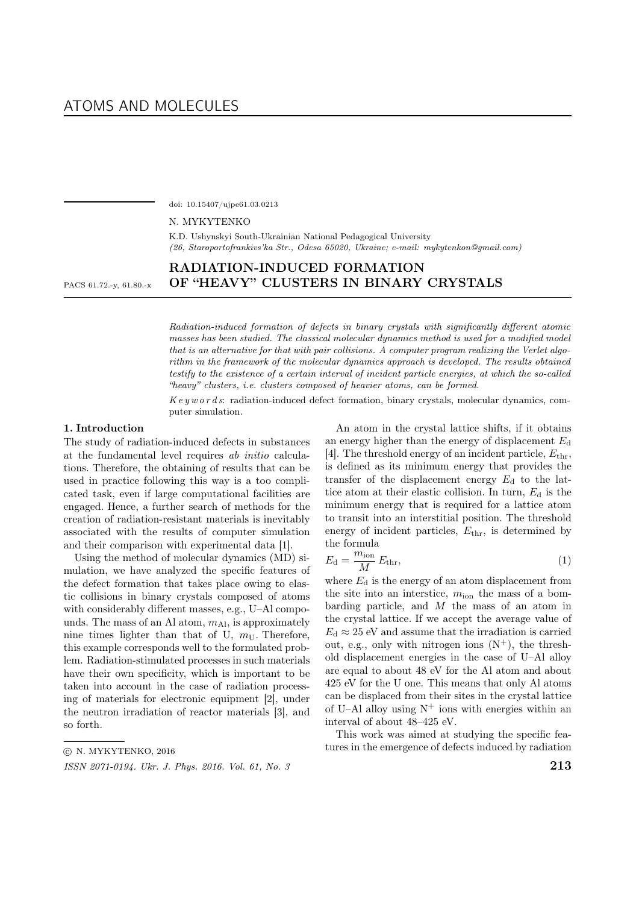doi: 10.15407/ujpe61.03.0213

N. MYKYTENKO

K.D. Ushynskyi South-Ukrainian National Pedagogical University (26, Staroportofrankivs'ka Str., Odesa 65020, Ukraine; e-mail: mykytenkon@gmail.com)

# RADIATION-INDUCED FORMATION PACS 61.72.-y, 61.80.-x OF "HEAVY" CLUSTERS IN BINARY CRYSTALS

Radiation-induced formation of defects in binary crystals with significantly different atomic masses has been studied. The classical molecular dynamics method is used for a modified model that is an alternative for that with pair collisions. A computer program realizing the Verlet algorithm in the framework of the molecular dynamics approach is developed. The results obtained testify to the existence of a certain interval of incident particle energies, at which the so-called "heavy" clusters, i.e. clusters composed of heavier atoms, can be formed.

 $Key words:$  radiation-induced defect formation, binary crystals, molecular dynamics, computer simulation.

### 1. Introduction

The study of radiation-induced defects in substances at the fundamental level requires ab initio calculations. Therefore, the obtaining of results that can be used in practice following this way is a too complicated task, even if large computational facilities are engaged. Hence, a further search of methods for the creation of radiation-resistant materials is inevitably associated with the results of computer simulation and their comparison with experimental data [1].

Using the method of molecular dynamics (MD) simulation, we have analyzed the specific features of the defect formation that takes place owing to elastic collisions in binary crystals composed of atoms with considerably different masses, e.g., U–Al compounds. The mass of an Al atom,  $m_{\text{Al}}$ , is approximately nine times lighter than that of U,  $m_{\rm U}$ . Therefore, this example corresponds well to the formulated problem. Radiation-stimulated processes in such materials have their own specificity, which is important to be taken into account in the case of radiation processing of materials for electronic equipment [2], under the neutron irradiation of reactor materials [3], and so forth.

An atom in the crystal lattice shifts, if it obtains an energy higher than the energy of displacement  $E_d$ [4]. The threshold energy of an incident particle,  $E_{\text{thr}}$ , is defined as its minimum energy that provides the transfer of the displacement energy  $E_d$  to the lattice atom at their elastic collision. In turn,  $E_d$  is the minimum energy that is required for a lattice atom to transit into an interstitial position. The threshold energy of incident particles,  $E_{\text{thr}}$ , is determined by the formula

$$
E_{\rm d} = \frac{m_{\rm ion}}{M} E_{\rm thr},\tag{1}
$$

where  $E_d$  is the energy of an atom displacement from the site into an interstice,  $m_{\text{ion}}$  the mass of a bombarding particle, and  $M$  the mass of an atom in the crystal lattice. If we accept the average value of  $E_d \approx 25$  eV and assume that the irradiation is carried out, e.g., only with nitrogen ions  $(N^+)$ , the threshold displacement energies in the case of U–Al alloy are equal to about 48 eV for the Al atom and about 425 eV for the U one. This means that only Al atoms can be displaced from their sites in the crystal lattice of U–Al alloy using  $N^+$  ions with energies within an interval of about 48–425 eV.

This work was aimed at studying the specific features in the emergence of defects induced by radiation

<sup>○</sup>c N. MYKYTENKO, 2016

ISSN 2071-0194. Ukr. J. Phys. 2016. Vol. 61, No. 3  $213$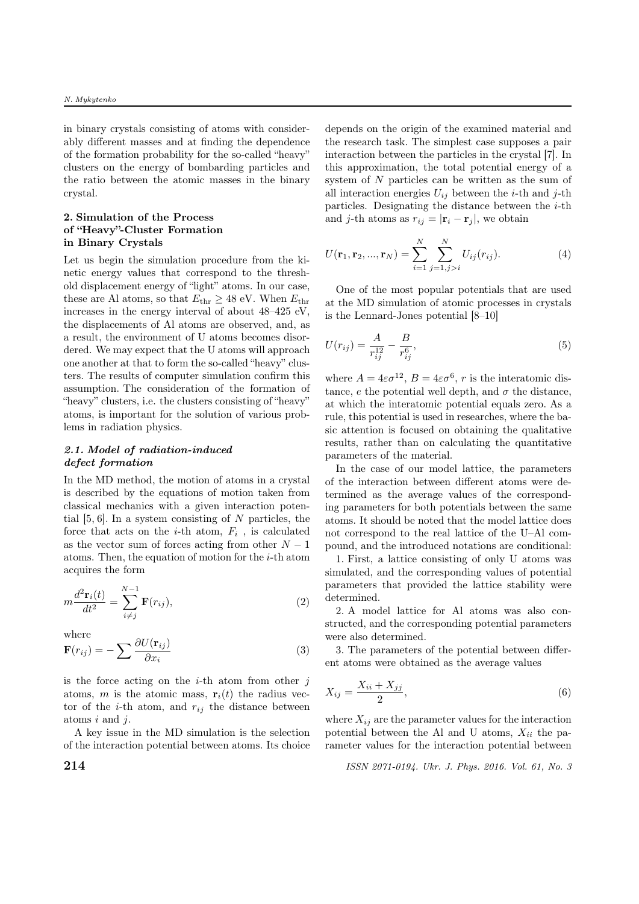in binary crystals consisting of atoms with considerably different masses and at finding the dependence of the formation probability for the so-called "heavy" clusters on the energy of bombarding particles and the ratio between the atomic masses in the binary crystal.

## 2. Simulation of the Process of "Heavy"-Cluster Formation in Binary Crystals

Let us begin the simulation procedure from the kinetic energy values that correspond to the threshold displacement energy of "light" atoms. In our case, these are Al atoms, so that  $E_{\text{thr}} \geq 48$  eV. When  $E_{\text{thr}}$ increases in the energy interval of about 48–425 eV, the displacements of Al atoms are observed, and, as a result, the environment of U atoms becomes disordered. We may expect that the U atoms will approach one another at that to form the so-called "heavy" clusters. The results of computer simulation confirm this assumption. The consideration of the formation of "heavy" clusters, i.e. the clusters consisting of "heavy" atoms, is important for the solution of various problems in radiation physics.

# 2.1. Model of radiation-induced defect formation

In the MD method, the motion of atoms in a crystal is described by the equations of motion taken from classical mechanics with a given interaction potential  $[5, 6]$ . In a system consisting of N particles, the force that acts on the *i*-th atom,  $F_i$ , is calculated as the vector sum of forces acting from other  $N-1$ atoms. Then, the equation of motion for the  $i$ -th atom acquires the form

$$
m\frac{d^2\mathbf{r}_i(t)}{dt^2} = \sum_{i\neq j}^{N-1} \mathbf{F}(r_{ij}),
$$
\n(2)

where

$$
\mathbf{F}(r_{ij}) = -\sum \frac{\partial U(\mathbf{r}_{ij})}{\partial x_i} \tag{3}
$$

is the force acting on the  $i$ -th atom from other  $i$ atoms, m is the atomic mass,  $\mathbf{r}_i(t)$  the radius vector of the *i*-th atom, and  $r_{ij}$  the distance between atoms  $i$  and  $j$ .

A key issue in the MD simulation is the selection of the interaction potential between atoms. Its choice depends on the origin of the examined material and the research task. The simplest case supposes a pair interaction between the particles in the crystal [7]. In this approximation, the total potential energy of a system of  $N$  particles can be written as the sum of all interaction energies  $U_{ij}$  between the *i*-th and *j*-th particles. Designating the distance between the  $i$ -th and j-th atoms as  $r_{ij} = |\mathbf{r}_i - \mathbf{r}_j|$ , we obtain

$$
U(\mathbf{r}_1, \mathbf{r}_2, ..., \mathbf{r}_N) = \sum_{i=1}^{N} \sum_{j=1, j>i}^{N} U_{ij}(r_{ij}).
$$
 (4)

One of the most popular potentials that are used at the MD simulation of atomic processes in crystals is the Lennard-Jones potential [8–10]

$$
U(r_{ij}) = \frac{A}{r_{ij}^{12}} - \frac{B}{r_{ij}^6},\tag{5}
$$

where  $A = 4\varepsilon \sigma^{12}$ ,  $B = 4\varepsilon \sigma^6$ , r is the interatomic distance,  $e$  the potential well depth, and  $\sigma$  the distance, at which the interatomic potential equals zero. As a rule, this potential is used in researches, where the basic attention is focused on obtaining the qualitative results, rather than on calculating the quantitative parameters of the material.

In the case of our model lattice, the parameters of the interaction between different atoms were determined as the average values of the corresponding parameters for both potentials between the same atoms. It should be noted that the model lattice does not correspond to the real lattice of the U–Al compound, and the introduced notations are conditional:

1. First, a lattice consisting of only U atoms was simulated, and the corresponding values of potential parameters that provided the lattice stability were determined.

2. A model lattice for Al atoms was also constructed, and the corresponding potential parameters were also determined.

3. The parameters of the potential between different atoms were obtained as the average values

$$
X_{ij} = \frac{X_{ii} + X_{jj}}{2},\tag{6}
$$

where  $X_{ij}$  are the parameter values for the interaction potential between the Al and U atoms,  $X_{ii}$  the parameter values for the interaction potential between

**214** ISSN 2071-0194. Ukr. J. Phys. 2016. Vol. 61, No. 3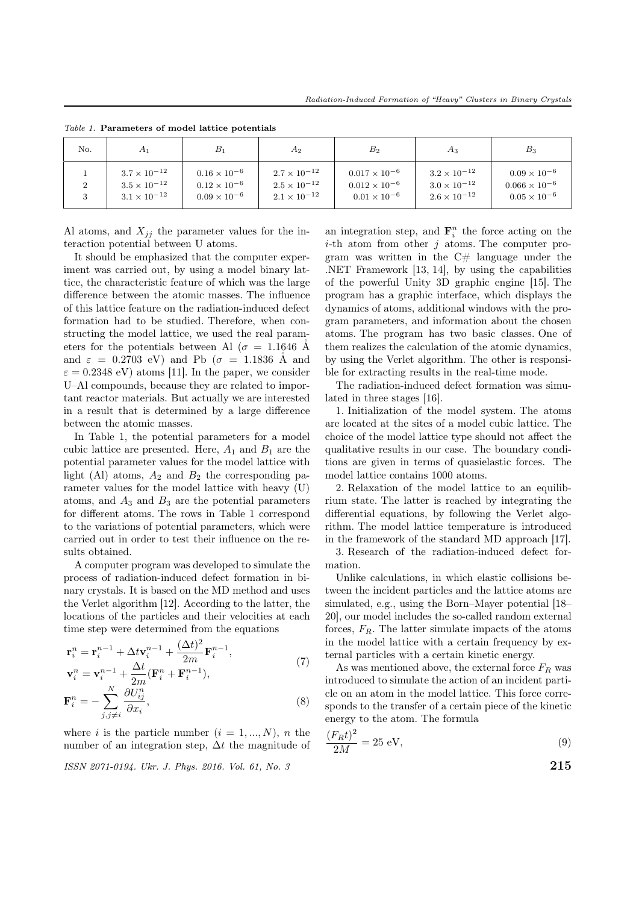| No.          | A1                                                                      | $B_1$                                                                   | $A_2$                                                                   | $B_{2}$                                                                   | $A_3$                                                                   | $B_3$                                                                    |
|--------------|-------------------------------------------------------------------------|-------------------------------------------------------------------------|-------------------------------------------------------------------------|---------------------------------------------------------------------------|-------------------------------------------------------------------------|--------------------------------------------------------------------------|
| ∠<br>$\cdot$ | $3.7 \times 10^{-12}$<br>$3.5 \times 10^{-12}$<br>$3.1 \times 10^{-12}$ | $0.16 \times 10^{-6}$<br>$0.12 \times 10^{-6}$<br>$0.09 \times 10^{-6}$ | $2.7 \times 10^{-12}$<br>$2.5 \times 10^{-12}$<br>$2.1 \times 10^{-12}$ | $0.017 \times 10^{-6}$<br>$0.012 \times 10^{-6}$<br>$0.01 \times 10^{-6}$ | $3.2 \times 10^{-12}$<br>$3.0 \times 10^{-12}$<br>$2.6 \times 10^{-12}$ | $0.09 \times 10^{-6}$<br>$0.066 \times 10^{-6}$<br>$0.05 \times 10^{-6}$ |

Table 1. Parameters of model lattice potentials

Al atoms, and  $X_{jj}$  the parameter values for the interaction potential between U atoms.

It should be emphasized that the computer experiment was carried out, by using a model binary lattice, the characteristic feature of which was the large difference between the atomic masses. The influence of this lattice feature on the radiation-induced defect formation had to be studied. Therefore, when constructing the model lattice, we used the real parameters for the potentials between Al ( $\sigma = 1.1646$  Å and  $\varepsilon = 0.2703$  eV) and Pb ( $\sigma = 1.1836$  Å and  $\varepsilon = 0.2348 \text{ eV}$  atoms [11]. In the paper, we consider U–Al compounds, because they are related to important reactor materials. But actually we are interested in a result that is determined by a large difference between the atomic masses.

In Table 1, the potential parameters for a model cubic lattice are presented. Here,  $A_1$  and  $B_1$  are the potential parameter values for the model lattice with light (Al) atoms,  $A_2$  and  $B_2$  the corresponding parameter values for the model lattice with heavy (U) atoms, and  $A_3$  and  $B_3$  are the potential parameters for different atoms. The rows in Table 1 correspond to the variations of potential parameters, which were carried out in order to test their influence on the results obtained.

A computer program was developed to simulate the process of radiation-induced defect formation in binary crystals. It is based on the MD method and uses the Verlet algorithm [12]. According to the latter, the locations of the particles and their velocities at each time step were determined from the equations

$$
\mathbf{r}_{i}^{n} = \mathbf{r}_{i}^{n-1} + \Delta t \mathbf{v}_{i}^{n-1} + \frac{(\Delta t)^{2}}{2m} \mathbf{F}_{i}^{n-1},
$$
\n
$$
\mathbf{v}_{i}^{n} = \mathbf{v}_{i}^{n-1} + \frac{\Delta t}{2m} (\mathbf{F}_{i}^{n} + \mathbf{F}_{i}^{n-1}),
$$
\n
$$
\mathbf{F}_{i}^{n} = -\sum_{j,j \neq i}^{N} \frac{\partial U_{ij}^{n}}{\partial x_{i}},
$$
\n(8)

where *i* is the particle number  $(i = 1, ..., N)$ , *n* the number of an integration step,  $\Delta t$  the magnitude of

ISSN 2071-0194. Ukr. J. Phys. 2016. Vol. 61, No. 3  $215$ 

an integration step, and  $\mathbf{F}_i^n$  the force acting on the *i*-th atom from other  $j$  atoms. The computer program was written in the  $C#$  language under the .NET Framework [13, 14], by using the capabilities of the powerful Unity 3D graphic engine [15]. The program has a graphic interface, which displays the dynamics of atoms, additional windows with the program parameters, and information about the chosen atoms. The program has two basic classes. One of them realizes the calculation of the atomic dynamics, by using the Verlet algorithm. The other is responsible for extracting results in the real-time mode.

The radiation-induced defect formation was simulated in three stages [16].

1. Initialization of the model system. The atoms are located at the sites of a model cubic lattice. The choice of the model lattice type should not affect the qualitative results in our case. The boundary conditions are given in terms of quasielastic forces. The model lattice contains 1000 atoms.

2. Relaxation of the model lattice to an equilibrium state. The latter is reached by integrating the differential equations, by following the Verlet algorithm. The model lattice temperature is introduced in the framework of the standard MD approach [17].

3. Research of the radiation-induced defect formation.

Unlike calculations, in which elastic collisions between the incident particles and the lattice atoms are simulated, e.g., using the Born–Mayer potential [18– 20], our model includes the so-called random external forces,  $F_R$ . The latter simulate impacts of the atoms in the model lattice with a certain frequency by external particles with a certain kinetic energy.

As was mentioned above, the external force  $F_R$  was introduced to simulate the action of an incident particle on an atom in the model lattice. This force corresponds to the transfer of a certain piece of the kinetic energy to the atom. The formula

$$
\frac{(F_R t)^2}{2M} = 25 \text{ eV},\tag{9}
$$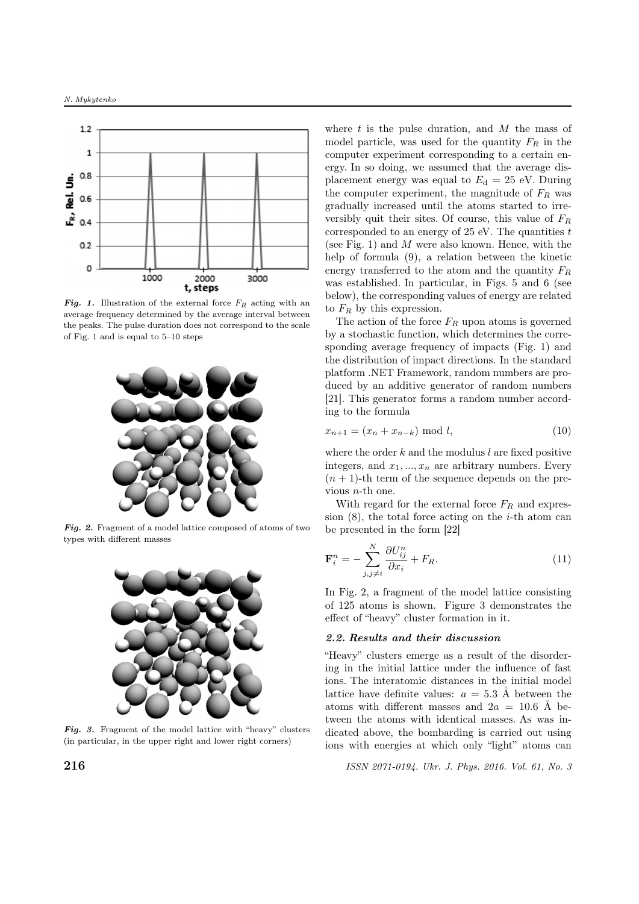

**Fig. 1.** Illustration of the external force  $F_R$  acting with an average frequency determined by the average interval between the peaks. The pulse duration does not correspond to the scale of Fig. 1 and is equal to 5–10 steps



Fig. 2. Fragment of a model lattice composed of atoms of two types with different masses



**Fig. 3.** Fragment of the model lattice with "heavy" clusters (in particular, in the upper right and lower right corners)

where  $t$  is the pulse duration, and  $M$  the mass of model particle, was used for the quantity  $F_R$  in the computer experiment corresponding to a certain energy. In so doing, we assumed that the average displacement energy was equal to  $E_d = 25$  eV. During the computer experiment, the magnitude of  $F_R$  was gradually increased until the atoms started to irreversibly quit their sites. Of course, this value of  $F_R$ corresponded to an energy of  $25 \text{ eV}$ . The quantities t (see Fig. 1) and  $M$  were also known. Hence, with the help of formula (9), a relation between the kinetic energy transferred to the atom and the quantity  $F_R$ was established. In particular, in Figs. 5 and 6 (see below), the corresponding values of energy are related to  $F_R$  by this expression.

The action of the force  $F_R$  upon atoms is governed by a stochastic function, which determines the corresponding average frequency of impacts (Fig. 1) and the distribution of impact directions. In the standard platform .NET Framework, random numbers are produced by an additive generator of random numbers [21]. This generator forms a random number according to the formula

$$
x_{n+1} = (x_n + x_{n-k}) \mod l, \tag{10}
$$

where the order  $k$  and the modulus  $l$  are fixed positive integers, and  $x_1, ..., x_n$  are arbitrary numbers. Every  $(n + 1)$ -th term of the sequence depends on the previous  $n$ -th one.

With regard for the external force  $F_R$  and expression  $(8)$ , the total force acting on the *i*-th atom can be presented in the form [22]

$$
\mathbf{F}_i^n = -\sum_{j,j\neq i}^N \frac{\partial U_{ij}^n}{\partial x_i} + F_R.
$$
 (11)

In Fig. 2, a fragment of the model lattice consisting of 125 atoms is shown. Figure 3 demonstrates the effect of "heavy" cluster formation in it.

### 2.2. Results and their discussion

"Heavy" clusters emerge as a result of the disordering in the initial lattice under the influence of fast ions. The interatomic distances in the initial model lattice have definite values:  $a = 5.3$  Å between the atoms with different masses and  $2a = 10.6$  Å between the atoms with identical masses. As was indicated above, the bombarding is carried out using ions with energies at which only "light" atoms can

**216 ISSN** 2071-0194. Ukr. J. Phys. 2016. Vol. 61, No. 3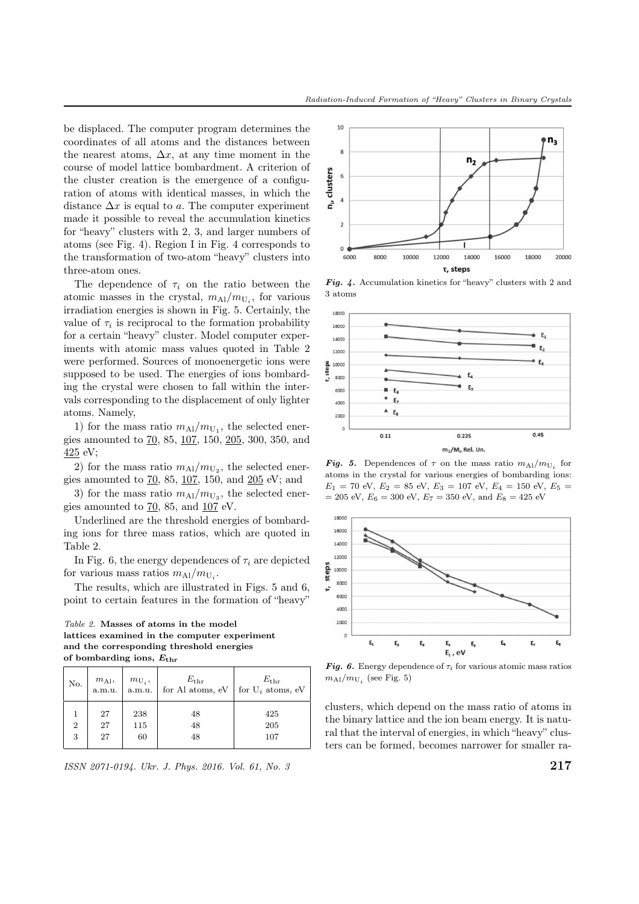be displaced. The computer program determines the coordinates of all atoms and the distances between the nearest atoms,  $\Delta x$ , at any time moment in the course of model lattice bombardment. A criterion of the cluster creation is the emergence of a configuration of atoms with identical masses, in which the distance  $\Delta x$  is equal to a. The computer experiment made it possible to reveal the accumulation kinetics for "heavy" clusters with 2, 3, and larger numbers of atoms (see Fig. 4). Region I in Fig. 4 corresponds to the transformation of two-atom "heavy" clusters into three-atom ones.

The dependence of  $\tau_i$  on the ratio between the atomic masses in the crystal,  $m_{\text{Al}}/m_{\text{U}_i}$ , for various irradiation energies is shown in Fig. 5. Certainly, the value of  $\tau_i$  is reciprocal to the formation probability for a certain "heavy" cluster. Model computer experiments with atomic mass values quoted in Table 2 were performed. Sources of monoenergetic ions were supposed to be used. The energies of ions bombarding the crystal were chosen to fall within the intervals corresponding to the displacement of only lighter atoms. Namely,

1) for the mass ratio  $m_{\text{Al}}/m_{\text{U}_1}$ , the selected energies amounted to 70, 85, 107, 150, 205, 300, 350, and 425 eV;

2) for the mass ratio  $m_{\text{Al}}/m_{\text{U}_2}$ , the selected energies amounted to 70, 85, 107, 150, and 205 eV; and

3) for the mass ratio  $m_{\text{Al}}/m_{\text{U}_3}$ , the selected energies amounted to 70, 85, and 107 eV.

Underlined are the threshold energies of bombarding ions for three mass ratios, which are quoted in Table 2.

In Fig. 6, the energy dependences of  $\tau_i$  are depicted for various mass ratios  $m_{\text{Al}}/m_{\text{U}_i}$ .

The results, which are illustrated in Figs. 5 and 6, point to certain features in the formation of "heavy"

Table 2. Masses of atoms in the model lattices examined in the computer experiment and the corresponding threshold energies of bombarding ions,  $E_{\rm thr}$ 

| No.                   | $m_{\rm Al},$ a.m.u. | $m_{\mathrm{U}_i}$ , a.m.u. | $$E_{\rm thr}$$ for Al atoms, eV | $E_{\rm thr}$<br>for $U_i$ atoms, eV |
|-----------------------|----------------------|-----------------------------|----------------------------------|--------------------------------------|
| $\boldsymbol{2}$<br>3 | 27<br>27<br>27       | 238<br>115<br>60            | 48<br>48<br>48                   | 425<br>205<br>107                    |

 $\frac{1}{217}$  ISSN 2071-0194. Ukr. J. Phys. 2016. Vol. 61, No. 3



Fig. 4. Accumulation kinetics for "heavy" clusters with 2 and 3 atoms



**Fig. 5.** Dependences of  $\tau$  on the mass ratio  $m_{\text{Al}}/m_{\text{U}_i}$  for atoms in the crystal for various energies of bombarding ions:  $E_1 = 70$  eV,  $E_2 = 85$  eV,  $E_3 = 107$  eV,  $E_4 = 150$  eV,  $E_5 =$  $= 205$  eV,  $E_6 = 300$  eV,  $E_7 = 350$  eV, and  $E_8 = 425$  eV



**Fig. 6.** Energy dependence of  $\tau_i$  for various atomic mass ratios  $m_{\text{Al}}/m_{\text{U}_i}$  (see Fig. 5)

clusters, which depend on the mass ratio of atoms in the binary lattice and the ion beam energy. It is natural that the interval of energies, in which "heavy" clusters can be formed, becomes narrower for smaller ra-